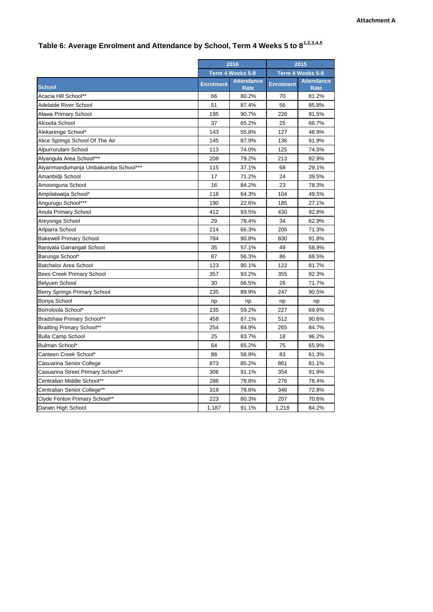## **Table 6: Average Enrolment and Attendance by School, Term 4 Weeks 5 to 81,2,3,4,5**

|                                      | 2016             |                                  | 2015             |                                  |
|--------------------------------------|------------------|----------------------------------|------------------|----------------------------------|
|                                      | Term 4 Weeks 5-8 |                                  | Term 4 Weeks 5-8 |                                  |
| <b>School</b>                        | <b>Enrolment</b> | <b>Attendance</b><br><b>Rate</b> | <b>Enrolment</b> | <b>Attendance</b><br><b>Rate</b> |
| Acacia Hill School**                 | 66               | 80.2%                            | 70               | 81.2%                            |
| Adelaide River School                | 51               | 87.4%                            | 56               | 85.8%                            |
| Alawa Primary School                 | 195              | 90.7%                            | 226              | 91.5%                            |
| Alcoota School                       | 37               | 65.2%                            | 25               | 66.7%                            |
| Alekarenge School*                   | 143              | 55.8%                            | 127              | 48.9%                            |
| Alice Springs School Of The Air      | 145              | 87.9%                            | 136              | 91.9%                            |
| Alpurrurulam School                  | 113              | 74.0%                            | 125              | 74.5%                            |
| Alyangula Area School***             | 208              | 79.2%                            | 213              | 82.9%                            |
| Alyarrmandumanja Umbakumba School*** | 115              | 37.1%                            | 68               | 29.1%                            |
| Amanbidji School                     | 17               | 71.2%                            | 24               | 39.5%                            |
| Amoonguna School                     | 16               | 84.2%                            | 23               | 78.3%                            |
| Ampilatwatja School*                 | 118              | 64.3%                            | 104              | 49.5%                            |
| Angurugu School***                   | 190              | 22.6%                            | 185              | 27.1%                            |
| Anula Primary School                 | 412              | 93.5%                            | 430              | 92.8%                            |
| Areyonga School                      | 29               | 78.4%                            | 34               | 62.9%                            |
| Arlparra School                      | 214              | 66.3%                            | 205              | 71.3%                            |
| <b>Bakewell Primary School</b>       | 784              | 90.8%                            | 830              | 91.8%                            |
| Baniyala Garrangali School           | 35               | 57.1%                            | 49               | 58.9%                            |
| Barunga School*                      | 87               | 56.3%                            | 86               | 68.5%                            |
| <b>Batchelor Area School</b>         | 123              | 90.1%                            | 122              | 81.7%                            |
| Bees Creek Primary School            | 357              | 93.2%                            | 355              | 92.3%                            |
| Belyuen School                       | 30               | 66.5%                            | 26               | 71.7%                            |
| Berry Springs Primary School         | 235              | 89.9%                            | 247              | 90.5%                            |
| Bonya School                         | np               | np                               | np               | np                               |
| Borroloola School*                   | 235              | 59.2%                            | 227              | 69.6%                            |
| Bradshaw Primary School**            | 458              | 87.1%                            | 512              | 90.6%                            |
| <b>Braitling Primary School**</b>    | 254              | 84.9%                            | 265              | 84.7%                            |
| <b>Bulla Camp School</b>             | 25               | 83.7%                            | 18               | 96.2%                            |
| Bulman School*                       | 64               | 65.2%                            | 75               | 65.9%                            |
| Canteen Creek School*                | 86               | 56.9%                            | 83               | 61.3%                            |
| Casuarina Senior College             | 873              | 85.2%                            | 861              | 81.1%                            |
| Casuarina Street Primary School**    | 306              | 91.1%                            | 354              | 91.9%                            |
| Centralian Middle School**           | 286              | 78.8%                            | 276              | 78.4%                            |
| Centralian Senior College**          | 319              | 78.6%                            | 346              | 72.8%                            |
| Clyde Fenton Primary School**        | 223              | 80.3%                            | 207              | 70.6%                            |
| Darwin High School                   | 1,187            | 91.1%                            | 1,218            | 84.2%                            |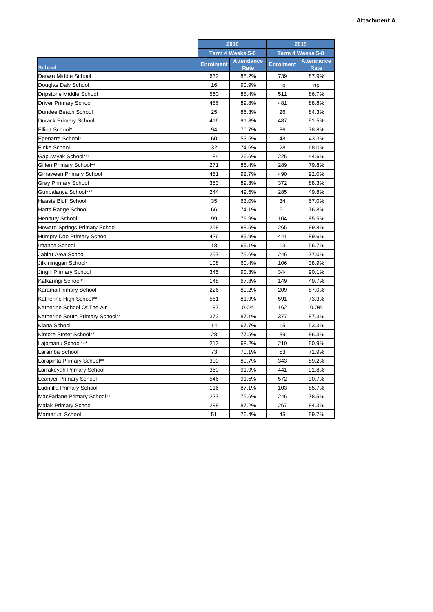|                                      | 2016             |                           | 2015             |                                  |
|--------------------------------------|------------------|---------------------------|------------------|----------------------------------|
|                                      | Term 4 Weeks 5-8 |                           | Term 4 Weeks 5-8 |                                  |
| <b>School</b>                        | <b>Enrolment</b> | <b>Attendance</b><br>Rate | <b>Enrolment</b> | <b>Attendance</b><br><b>Rate</b> |
| Darwin Middle School                 | 632              | 88.2%                     | 739              | 87.9%                            |
| Douglas Daly School                  | 16               | 90.9%                     | np               | np                               |
| Dripstone Middle School              | 560              | 88.4%                     | 511              | 86.7%                            |
| Driver Primary School                | 486              | 89.8%                     | 481              | 88.8%                            |
| Dundee Beach School                  | 25               | 86.3%                     | 26               | 84.3%                            |
| Durack Primary School                | 416              | 91.8%                     | 487              | 91.5%                            |
| Elliott School*                      | 94               | 70.7%                     | 86               | 78.8%                            |
| Epenarra School*                     | 60               | 53.5%                     | 48               | 43.3%                            |
| <b>Finke School</b>                  | 32               | 74.6%                     | 28               | 68.0%                            |
| Gapuwiyak School***                  | 184              | 26.6%                     | 225              | 44.6%                            |
| Gillen Primary School**              | 271              | 85.4%                     | 289              | 79.8%                            |
| Girraween Primary School             | 481              | 92.7%                     | 490              | 92.0%                            |
| Gray Primary School                  | 353              | 89.3%                     | 372              | 88.3%                            |
| Gunbalanya School***                 | 244              | 49.5%                     | 285              | 49.8%                            |
| <b>Haasts Bluff School</b>           | 35               | 63.0%                     | 34               | 67.0%                            |
| Harts Range School                   | 66               | 74.1%                     | 61               | 76.8%                            |
| <b>Henbury School</b>                | 99               | 79.9%                     | 104              | 85.5%                            |
| <b>Howard Springs Primary School</b> | 258              | 88.5%                     | 265              | 89.8%                            |
| Humpty Doo Primary School            | 426              | 89.9%                     | 441              | 89.6%                            |
| Imanpa School                        | 18               | 69.1%                     | 13               | 56.7%                            |
| Jabiru Area School                   | 257              | 75.6%                     | 246              | 77.0%                            |
| Jilkminggan School*                  | 108              | 60.4%                     | 106              | 38.9%                            |
| Jingili Primary School               | 345              | 90.3%                     | 344              | 90.1%                            |
| Kalkaringi School*                   | 148              | 67.8%                     | 149              | 49.7%                            |
| Karama Primary School                | 226              | 89.2%                     | 209              | 87.0%                            |
| Katherine High School**              | 561              | 81.9%                     | 591              | 73.3%                            |
| Katherine School Of The Air          | 187              | 0.0%                      | 162              | 0.0%                             |
| Katherine South Primary School**     | 372              | 87.1%                     | 377              | 87.3%                            |
| Kiana School                         | 14               | 67.7%                     | 15               | 53.3%                            |
| Kintore Street School**              | 28               | 77.5%                     | 39               | 86.3%                            |
| Lajamanu School***                   | 212              | 68.2%                     | 210              | 50.9%                            |
| Laramba School                       | 73               | 70.1%                     | 53               | 71.9%                            |
| Larapinta Primary School**           | 300              | 89.7%                     | 343              | 89.2%                            |
| Larrakeyah Primary School            | 360              | 91.9%                     | 441              | 91.8%                            |
| Leanyer Primary School               | 546              | 91.5%                     | 572              | 90.7%                            |
| Ludmilla Primary School              | 116              | 87.1%                     | 103              | 85.7%                            |
| MacFarlane Primary School**          | 227              | 75.6%                     | 246              | 78.5%                            |
| <b>Malak Primary School</b>          | 288              | 87.2%                     | 267              | 84.3%                            |
| Mamaruni School                      | 51               | 76.4%                     | 45               | 59.7%                            |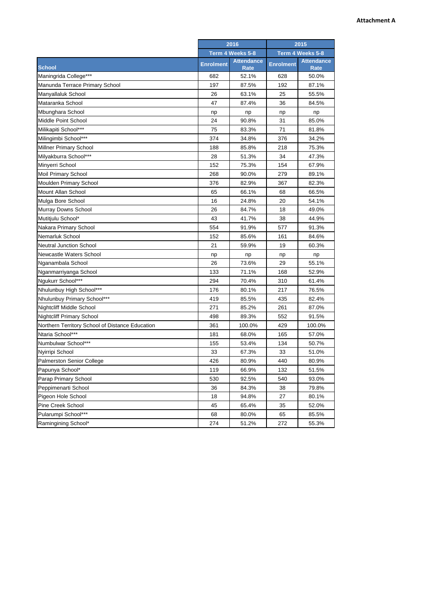|                                                 | 2016             |                           | 2015             |                           |
|-------------------------------------------------|------------------|---------------------------|------------------|---------------------------|
|                                                 | Term 4 Weeks 5-8 |                           | Term 4 Weeks 5-8 |                           |
| <b>School</b>                                   | <b>Enrolment</b> | <b>Attendance</b><br>Rate | <b>Enrolment</b> | <b>Attendance</b><br>Rate |
| Maningrida College***                           | 682              | 52.1%                     | 628              | 50.0%                     |
| Manunda Terrace Primary School                  | 197              | 87.5%                     | 192              | 87.1%                     |
| Manyallaluk School                              | 26               | 63.1%                     | 25               | 55.5%                     |
| Mataranka School                                | 47               | 87.4%                     | 36               | 84.5%                     |
| Mbunghara School                                | np               | np                        | np               | np                        |
| Middle Point School                             | 24               | 90.8%                     | 31               | 85.0%                     |
| Milikapiti School***                            | 75               | 83.3%                     | 71               | 81.8%                     |
| Milingimbi School***                            | 374              | 34.8%                     | 376              | 34.2%                     |
| Millner Primary School                          | 188              | 85.8%                     | 218              | 75.3%                     |
| Milyakburra School***                           | 28               | 51.3%                     | 34               | 47.3%                     |
| Minyerri School                                 | 152              | 75.3%                     | 154              | 67.9%                     |
| <b>Moil Primary School</b>                      | 268              | 90.0%                     | 279              | 89.1%                     |
| Moulden Primary School                          | 376              | 82.9%                     | 367              | 82.3%                     |
| Mount Allan School                              | 65               | 66.1%                     | 68               | 66.5%                     |
| Mulga Bore School                               | 16               | 24.8%                     | 20               | 54.1%                     |
| Murray Downs School                             | 26               | 84.7%                     | 18               | 49.0%                     |
| Mutitjulu School*                               | 43               | 41.7%                     | 38               | 44.9%                     |
| Nakara Primary School                           | 554              | 91.9%                     | 577              | 91.3%                     |
| Nemarluk School                                 | 152              | 85.6%                     | 161              | 84.6%                     |
| Neutral Junction School                         | 21               | 59.9%                     | 19               | 60.3%                     |
| Newcastle Waters School                         | np               | np                        | np               | np                        |
| Nganambala School                               | 26               | 73.6%                     | 29               | 55.1%                     |
| Nganmarriyanga School                           | 133              | 71.1%                     | 168              | 52.9%                     |
| Ngukurr School***                               | 294              | 70.4%                     | 310              | 61.4%                     |
| Nhulunbuy High School***                        | 176              | 80.1%                     | 217              | 76.5%                     |
| Nhulunbuy Primary School***                     | 419              | 85.5%                     | 435              | 82.4%                     |
| Nightcliff Middle School                        | 271              | 85.2%                     | 261              | 87.0%                     |
| <b>Nightcliff Primary School</b>                | 498              | 89.3%                     | 552              | 91.5%                     |
| Northern Territory School of Distance Education | 361              | 100.0%                    | 429              | 100.0%                    |
| Ntaria School***                                | 181              | 68.0%                     | 165              | 57.0%                     |
| Numbulwar School***                             | 155              | 53.4%                     | 134              | 50.7%                     |
| Nyirripi School                                 | 33               | 67.3%                     | 33               | 51.0%                     |
| <b>Palmerston Senior College</b>                | 426              | 80.9%                     | 440              | 80.9%                     |
| Papunya School*                                 | 119              | 66.9%                     | 132              | 51.5%                     |
| Parap Primary School                            | 530              | 92.5%                     | 540              | 93.0%                     |
| Peppimenarti School                             | 36               | 84.3%                     | 38               | 79.8%                     |
| Pigeon Hole School                              | 18               | 94.8%                     | 27               | 80.1%                     |
| Pine Creek School                               | 45               | 65.4%                     | 35               | 52.0%                     |
| Pularumpi School***                             | 68               | 80.0%                     | 65               | 85.5%                     |
| Ramingining School*                             | 274              | 51.2%                     | 272              | 55.3%                     |